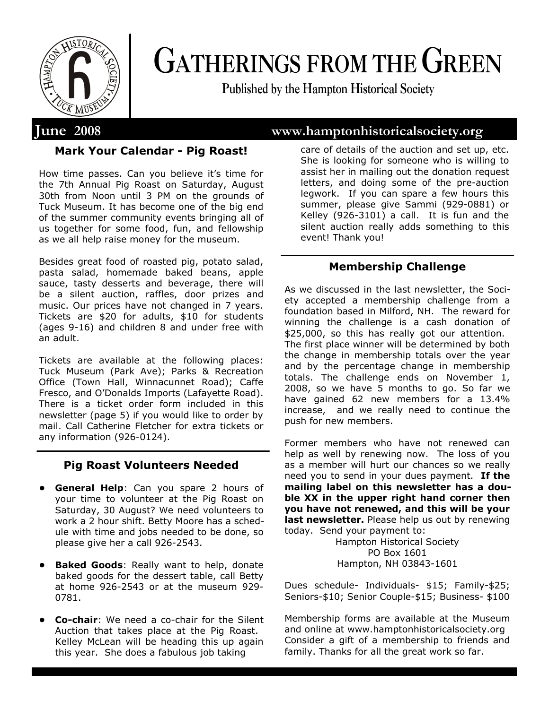

# **GATHERINGS FROM THE GREEN**

**Published by the Hampton Historical Society**

# **June 2008 www.hamptonhistoricalsociety.org**

# **Mark Your Calendar - Pig Roast!**

How time passes. Can you believe it's time for the 7th Annual Pig Roast on Saturday, August 30th from Noon until 3 PM on the grounds of Tuck Museum. It has become one of the big end of the summer community events bringing all of us together for some food, fun, and fellowship as we all help raise money for the museum.

Besides great food of roasted pig, potato salad, pasta salad, homemade baked beans, apple sauce, tasty desserts and beverage, there will be a silent auction, raffles, door prizes and music. Our prices have not changed in 7 years. Tickets are \$20 for adults, \$10 for students (ages 9-16) and children 8 and under free with an adult.

Tickets are available at the following places: Tuck Museum (Park Ave); Parks & Recreation Office (Town Hall, Winnacunnet Road); Caffe Fresco, and O'Donalds Imports (Lafayette Road). There is a ticket order form included in this newsletter (page 5) if you would like to order by mail. Call Catherine Fletcher for extra tickets or any information (926-0124).

# **Pig Roast Volunteers Needed**

- **General Help**: Can you spare 2 hours of your time to volunteer at the Pig Roast on Saturday, 30 August? We need volunteers to work a 2 hour shift. Betty Moore has a schedule with time and jobs needed to be done, so please give her a call 926-2543.
- **Baked Goods:** Really want to help, donate baked goods for the dessert table, call Betty at home 926-2543 or at the museum 929- 0781.
- **Co-chair**: We need a co-chair for the Silent Auction that takes place at the Pig Roast. Kelley McLean will be heading this up again this year. She does a fabulous job taking

care of details of the auction and set up, etc. She is looking for someone who is willing to assist her in mailing out the donation request letters, and doing some of the pre-auction legwork. If you can spare a few hours this summer, please give Sammi (929-0881) or Kelley (926-3101) a call. It is fun and the silent auction really adds something to this event! Thank you!

# **Membership Challenge**

As we discussed in the last newsletter, the Society accepted a membership challenge from a foundation based in Milford, NH. The reward for winning the challenge is a cash donation of \$25,000, so this has really got our attention. The first place winner will be determined by both the change in membership totals over the year and by the percentage change in membership totals. The challenge ends on November 1, 2008, so we have 5 months to go. So far we have gained 62 new members for a 13.4% increase, and we really need to continue the push for new members.

Former members who have not renewed can help as well by renewing now. The loss of you as a member will hurt our chances so we really need you to send in your dues payment. **If the mailing label on this newsletter has a double XX in the upper right hand corner then you have not renewed, and this will be your**  last newsletter. Please help us out by renewing today. Send your payment to:

Hampton Historical Society PO Box 1601 Hampton, NH 03843-1601

Dues schedule- Individuals- \$15; Family-\$25; Seniors-\$10; Senior Couple-\$15; Business- \$100

Membership forms are available at the Museum and online at www.hamptonhistoricalsociety.org Consider a gift of a membership to friends and family. Thanks for all the great work so far.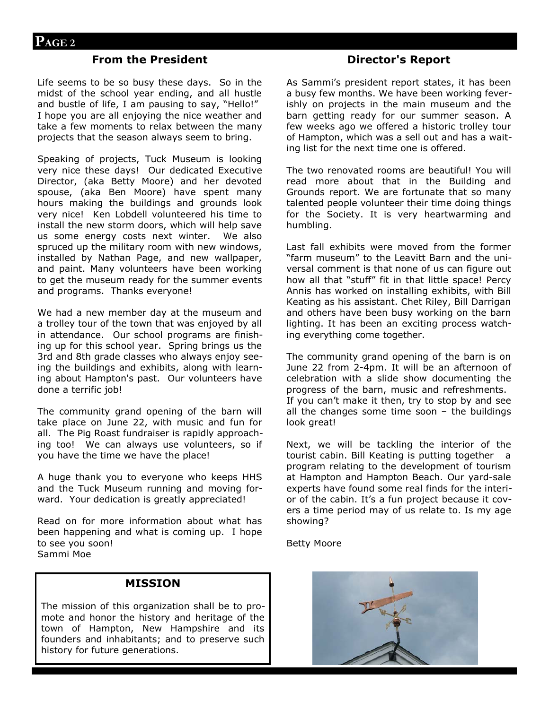## **From the President**

Life seems to be so busy these days. So in the midst of the school year ending, and all hustle and bustle of life, I am pausing to say, "Hello!" I hope you are all enjoying the nice weather and take a few moments to relax between the many projects that the season always seem to bring.

Speaking of projects, Tuck Museum is looking very nice these days! Our dedicated Executive Director, (aka Betty Moore) and her devoted spouse, (aka Ben Moore) have spent many hours making the buildings and grounds look very nice! Ken Lobdell volunteered his time to install the new storm doors, which will help save us some energy costs next winter. We also spruced up the military room with new windows, installed by Nathan Page, and new wallpaper, and paint. Many volunteers have been working to get the museum ready for the summer events and programs. Thanks everyone!

We had a new member day at the museum and a trolley tour of the town that was enjoyed by all in attendance. Our school programs are finishing up for this school year. Spring brings us the 3rd and 8th grade classes who always enjoy seeing the buildings and exhibits, along with learning about Hampton's past. Our volunteers have done a terrific job!

The community grand opening of the barn will take place on June 22, with music and fun for all. The Pig Roast fundraiser is rapidly approaching too! We can always use volunteers, so if you have the time we have the place!

A huge thank you to everyone who keeps HHS and the Tuck Museum running and moving forward. Your dedication is greatly appreciated!

Read on for more information about what has been happening and what is coming up. I hope to see you soon! Sammi Moe

#### **MISSION**

The mission of this organization shall be to promote and honor the history and heritage of the town of Hampton, New Hampshire and its founders and inhabitants; and to preserve such history for future generations.

#### **Director's Report**

As Sammi's president report states, it has been a busy few months. We have been working feverishly on projects in the main museum and the barn getting ready for our summer season. A few weeks ago we offered a historic trolley tour of Hampton, which was a sell out and has a waiting list for the next time one is offered.

The two renovated rooms are beautiful! You will read more about that in the Building and Grounds report. We are fortunate that so many talented people volunteer their time doing things for the Society. It is very heartwarming and humbling.

Last fall exhibits were moved from the former "farm museum" to the Leavitt Barn and the universal comment is that none of us can figure out how all that "stuff" fit in that little space! Percy Annis has worked on installing exhibits, with Bill Keating as his assistant. Chet Riley, Bill Darrigan and others have been busy working on the barn lighting. It has been an exciting process watching everything come together.

The community grand opening of the barn is on June 22 from 2-4pm. It will be an afternoon of celebration with a slide show documenting the progress of the barn, music and refreshments. If you can't make it then, try to stop by and see all the changes some time soon – the buildings look great!

Next, we will be tackling the interior of the tourist cabin. Bill Keating is putting together a program relating to the development of tourism at Hampton and Hampton Beach. Our yard-sale experts have found some real finds for the interior of the cabin. It's a fun project because it covers a time period may of us relate to. Is my age showing?

Betty Moore

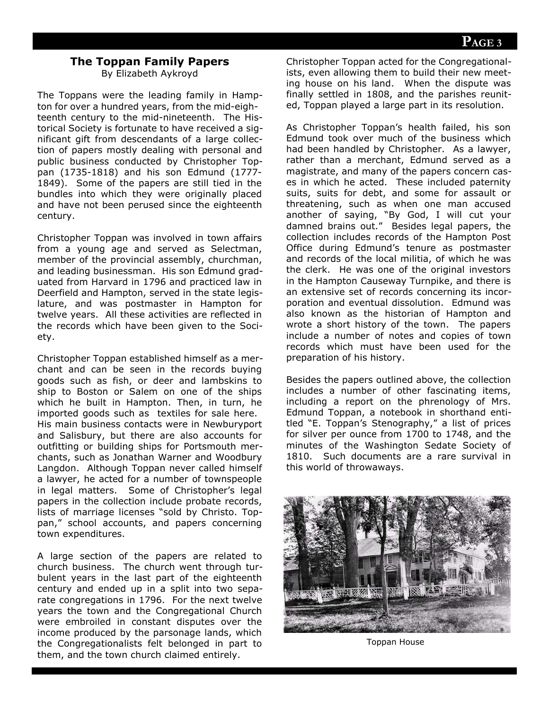# **The Toppan Family Papers**

By Elizabeth Aykroyd

The Toppans were the leading family in Hampton for over a hundred years, from the mid-eighteenth century to the mid-nineteenth. The Historical Society is fortunate to have received a significant gift from descendants of a large collection of papers mostly dealing with personal and public business conducted by Christopher Toppan (1735-1818) and his son Edmund (1777- 1849). Some of the papers are still tied in the bundles into which they were originally placed and have not been perused since the eighteenth century.

Christopher Toppan was involved in town affairs from a young age and served as Selectman, member of the provincial assembly, churchman, and leading businessman. His son Edmund graduated from Harvard in 1796 and practiced law in Deerfield and Hampton, served in the state legislature, and was postmaster in Hampton for twelve years. All these activities are reflected in the records which have been given to the Society.

Christopher Toppan established himself as a merchant and can be seen in the records buying goods such as fish, or deer and lambskins to ship to Boston or Salem on one of the ships which he built in Hampton. Then, in turn, he imported goods such as textiles for sale here. His main business contacts were in Newburyport and Salisbury, but there are also accounts for outfitting or building ships for Portsmouth merchants, such as Jonathan Warner and Woodbury Langdon. Although Toppan never called himself a lawyer, he acted for a number of townspeople in legal matters. Some of Christopher's legal papers in the collection include probate records, lists of marriage licenses "sold by Christo. Toppan," school accounts, and papers concerning town expenditures.

A large section of the papers are related to church business. The church went through turbulent years in the last part of the eighteenth century and ended up in a split into two separate congregations in 1796. For the next twelve years the town and the Congregational Church were embroiled in constant disputes over the income produced by the parsonage lands, which the Congregationalists felt belonged in part to them, and the town church claimed entirely.

Christopher Toppan acted for the Congregationalists, even allowing them to build their new meeting house on his land. When the dispute was finally settled in 1808, and the parishes reunited, Toppan played a large part in its resolution.

As Christopher Toppan's health failed, his son Edmund took over much of the business which had been handled by Christopher. As a lawyer, rather than a merchant, Edmund served as a magistrate, and many of the papers concern cases in which he acted. These included paternity suits, suits for debt, and some for assault or threatening, such as when one man accused another of saying, "By God, I will cut your damned brains out." Besides legal papers, the collection includes records of the Hampton Post Office during Edmund's tenure as postmaster and records of the local militia, of which he was the clerk. He was one of the original investors in the Hampton Causeway Turnpike, and there is an extensive set of records concerning its incorporation and eventual dissolution. Edmund was also known as the historian of Hampton and wrote a short history of the town. The papers include a number of notes and copies of town records which must have been used for the preparation of his history.

Besides the papers outlined above, the collection includes a number of other fascinating items, including a report on the phrenology of Mrs. Edmund Toppan, a notebook in shorthand entitled "E. Toppan's Stenography," a list of prices for silver per ounce from 1700 to 1748, and the minutes of the Washington Sedate Society of 1810. Such documents are a rare survival in this world of throwaways.



Toppan House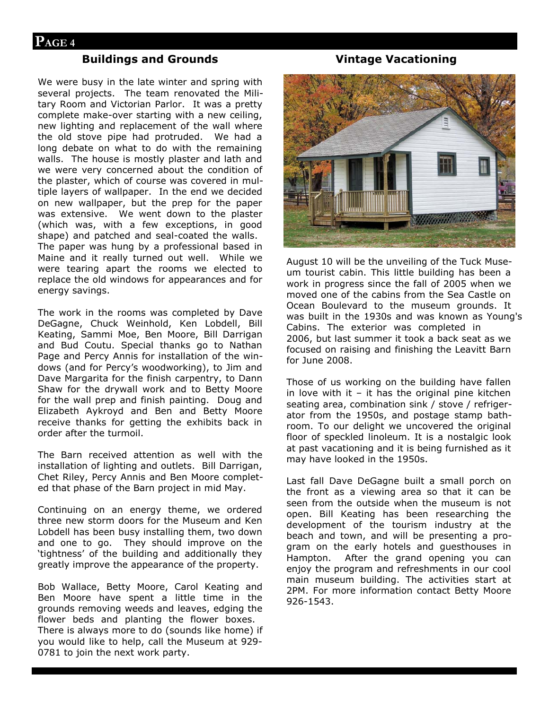## **Buildings and Grounds**

We were busy in the late winter and spring with several projects. The team renovated the Military Room and Victorian Parlor. It was a pretty complete make-over starting with a new ceiling, new lighting and replacement of the wall where the old stove pipe had protruded. We had a long debate on what to do with the remaining walls. The house is mostly plaster and lath and we were very concerned about the condition of the plaster, which of course was covered in multiple layers of wallpaper. In the end we decided on new wallpaper, but the prep for the paper was extensive. We went down to the plaster (which was, with a few exceptions, in good shape) and patched and seal-coated the walls. The paper was hung by a professional based in Maine and it really turned out well. While we were tearing apart the rooms we elected to replace the old windows for appearances and for energy savings.

The work in the rooms was completed by Dave DeGagne, Chuck Weinhold, Ken Lobdell, Bill Keating, Sammi Moe, Ben Moore, Bill Darrigan and Bud Coutu. Special thanks go to Nathan Page and Percy Annis for installation of the windows (and for Percy's woodworking), to Jim and Dave Margarita for the finish carpentry, to Dann Shaw for the drywall work and to Betty Moore for the wall prep and finish painting. Doug and Elizabeth Aykroyd and Ben and Betty Moore receive thanks for getting the exhibits back in order after the turmoil.

The Barn received attention as well with the installation of lighting and outlets. Bill Darrigan, Chet Riley, Percy Annis and Ben Moore completed that phase of the Barn project in mid May.

Continuing on an energy theme, we ordered three new storm doors for the Museum and Ken Lobdell has been busy installing them, two down and one to go. They should improve on the 'tightness' of the building and additionally they greatly improve the appearance of the property.

Bob Wallace, Betty Moore, Carol Keating and Ben Moore have spent a little time in the grounds removing weeds and leaves, edging the flower beds and planting the flower boxes. There is always more to do (sounds like home) if you would like to help, call the Museum at 929- 0781 to join the next work party.

#### **Vintage Vacationing**



August 10 will be the unveiling of the Tuck Museum tourist cabin. This little building has been a work in progress since the fall of 2005 when we moved one of the cabins from the Sea Castle on Ocean Boulevard to the museum grounds. It was built in the 1930s and was known as Young's Cabins. The exterior was completed in 2006, but last summer it took a back seat as we focused on raising and finishing the Leavitt Barn for June 2008.

Those of us working on the building have fallen in love with it  $-$  it has the original pine kitchen seating area, combination sink / stove / refrigerator from the 1950s, and postage stamp bathroom. To our delight we uncovered the original floor of speckled linoleum. It is a nostalgic look at past vacationing and it is being furnished as it may have looked in the 1950s.

Last fall Dave DeGagne built a small porch on the front as a viewing area so that it can be seen from the outside when the museum is not open. Bill Keating has been researching the development of the tourism industry at the beach and town, and will be presenting a program on the early hotels and guesthouses in Hampton. After the grand opening you can enjoy the program and refreshments in our cool main museum building. The activities start at 2PM. For more information contact Betty Moore 926-1543.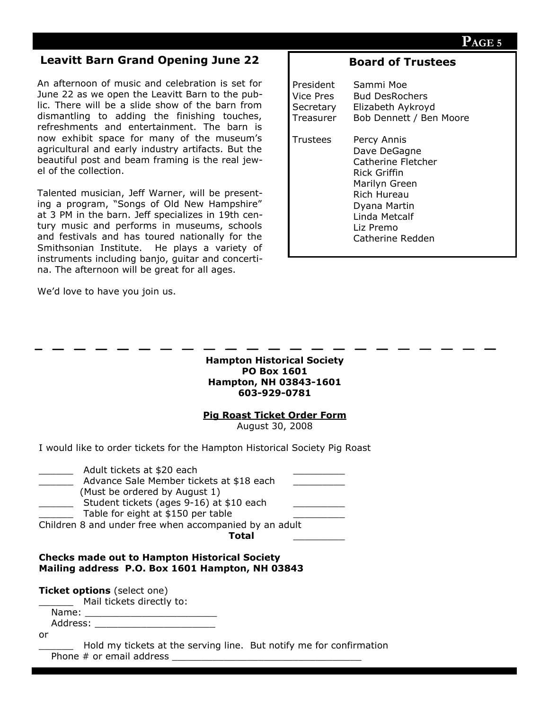## **Leavitt Barn Grand Opening June 22**

An afternoon of music and celebration is set for June 22 as we open the Leavitt Barn to the public. There will be a slide show of the barn from dismantling to adding the finishing touches, refreshments and entertainment. The barn is now exhibit space for many of the museum's agricultural and early industry artifacts. But the beautiful post and beam framing is the real jewel of the collection.

Talented musician, Jeff Warner, will be presenting a program, "Songs of Old New Hampshire" at 3 PM in the barn. Jeff specializes in 19th century music and performs in museums, schools and festivals and has toured nationally for the Smithsonian Institute. He plays a variety of instruments including banjo, guitar and concertina. The afternoon will be great for all ages.

We'd love to have you join us.

# **Board of Trustees**

| President | Sammi Moe                                                                                                                                                           |
|-----------|---------------------------------------------------------------------------------------------------------------------------------------------------------------------|
| Vice Pres | <b>Bud DesRochers</b>                                                                                                                                               |
| Secretary | Elizabeth Aykroyd                                                                                                                                                   |
| Treasurer | Bob Dennett / Ben Moore                                                                                                                                             |
| Trustees  | Percy Annis<br>Dave DeGagne<br>Catherine Fletcher<br>Rick Griffin<br>Marilyn Green<br>Rich Hureau<br>Dyana Martin<br>Linda Metcalf<br>Liz Premo<br>Catherine Redden |

**Hampton Historical Society PO Box 1601 Hampton, NH 03843-1601 603-929-0781**

**Pig Roast Ticket Order Form**

August 30, 2008

I would like to order tickets for the Hampton Historical Society Pig Roast

| Adult tickets at \$20 each<br>Advance Sale Member tickets at \$18 each<br>(Must be ordered by August 1) |  |
|---------------------------------------------------------------------------------------------------------|--|
| Student tickets (ages 9-16) at \$10 each<br>Table for eight at \$150 per table                          |  |
| Children 8 and under free when accompanied by an adult<br>Total                                         |  |
|                                                                                                         |  |

#### **Checks made out to Hampton Historical Society Mailing address P.O. Box 1601 Hampton, NH 03843**

**Ticket options** (select one)

Mail tickets directly to:

Name: \_\_\_\_\_\_\_\_\_\_\_\_\_\_\_\_\_\_\_\_\_\_\_ Address: \_\_\_\_\_\_\_\_\_\_\_\_\_\_\_\_\_\_\_\_\_

or

Hold my tickets at the serving line. But notify me for confirmation Phone  $#$  or email address